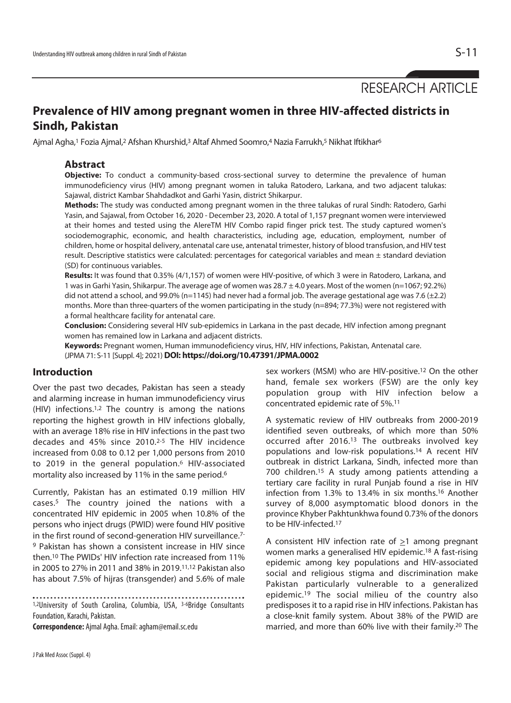RESEARCH ARTICLE

# **Prevalence of HIV among pregnant women in three HIV-affected districts in Sindh, Pakistan**

Ajmal Agha,<sup>1</sup> Fozia Ajmal,<sup>2</sup> Afshan Khurshid,<sup>3</sup> Altaf Ahmed Soomro,<sup>4</sup> Nazia Farrukh,<sup>5</sup> Nikhat Iftikhar<sup>6</sup>

#### **Abstract**

**Objective:** To conduct a community-based cross-sectional survey to determine the prevalence of human immunodeficiency virus (HIV) among pregnant women in taluka Ratodero, Larkana, and two adjacent talukas: Sajawal, district Kambar Shahdadkot and Garhi Yasin, district Shikarpur.

**Methods:** The study was conducted among pregnant women in the three talukas of rural Sindh: Ratodero, Garhi Yasin, and Sajawal, from October 16, 2020 - December 23, 2020. A total of 1,157 pregnant women were interviewed at their homes and tested using the AlereTM HIV Combo rapid finger prick test. The study captured women's sociodemographic, economic, and health characteristics, including age, education, employment, number of children, home or hospital delivery, antenatal care use, antenatal trimester, history of blood transfusion, and HIV test result. Descriptive statistics were calculated: percentages for categorical variables and mean  $\pm$  standard deviation (SD) for continuous variables.

**Results:** It was found that 0.35% (4/1,157) of women were HIV-positive, of which 3 were in Ratodero, Larkana, and 1 was in Garhi Yasin, Shikarpur. The average age of women was 28.7 ± 4.0 years. Most of the women (n=1067; 92.2%) did not attend a school, and 99.0% (n=1145) had never had a formal job. The average gestational age was 7.6 ( $\pm$ 2.2) months. More than three-quarters of the women participating in the study (n=894; 77.3%) were not registered with a formal healthcare facility for antenatal care.

**Conclusion:** Considering several HIV sub-epidemics in Larkana in the past decade, HIV infection among pregnant women has remained low in Larkana and adjacent districts.

**Keywords:** Pregnant women, Human immunodeficiency virus, HIV, HIV infections, Pakistan, Antenatal care. (JPMA 71: S-11 [Suppl. 4]; 2021) **DOI: https://doi.org/10.47391/JPMA.0002**

#### **Introduction**

Over the past two decades, Pakistan has seen a steady and alarming increase in human immunodeficiency virus (HIV) infections.1,2 The country is among the nations reporting the highest growth in HIV infections globally, with an average 18% rise in HIV infections in the past two decades and 45% since 2010.2-5 The HIV incidence increased from 0.08 to 0.12 per 1,000 persons from 2010 to 2019 in the general population.<sup>6</sup> HIV-associated mortality also increased by 11% in the same period.6

Currently, Pakistan has an estimated 0.19 million HIV cases.5 The country joined the nations with a concentrated HIV epidemic in 2005 when 10.8% of the persons who inject drugs (PWID) were found HIV positive in the first round of second-generation HIV surveillance.7- 9 Pakistan has shown a consistent increase in HIV since then.10 The PWIDs' HIV infection rate increased from 11% in 2005 to 27% in 2011 and 38% in 2019.11,12 Pakistan also has about 7.5% of hijras (transgender) and 5.6% of male

1,2University of South Carolina, Columbia, USA, 3-6Bridge Consultants Foundation, Karachi, Pakistan.

**Correspondence:** Ajmal Agha. Email: agham@email.sc.edu

sex workers (MSM) who are HIV-positive.12 On the other hand, female sex workers (FSW) are the only key population group with HIV infection below a concentrated epidemic rate of 5%.11

A systematic review of HIV outbreaks from 2000-2019 identified seven outbreaks, of which more than 50% occurred after 2016.13 The outbreaks involved key populations and low-risk populations.14 A recent HIV outbreak in district Larkana, Sindh, infected more than 700 children.15 A study among patients attending a tertiary care facility in rural Punjab found a rise in HIV infection from 1.3% to 13.4% in six months.16 Another survey of 8,000 asymptomatic blood donors in the province Khyber Pakhtunkhwa found 0.73% of the donors to be HIV-infected.17

A consistent HIV infection rate of  $\geq$ 1 among pregnant women marks a generalised HIV epidemic.18 A fast-rising epidemic among key populations and HIV-associated social and religious stigma and discrimination make Pakistan particularly vulnerable to a generalized epidemic.19 The social milieu of the country also predisposes it to a rapid rise in HIV infections. Pakistan has a close-knit family system. About 38% of the PWID are married, and more than 60% live with their family.20 The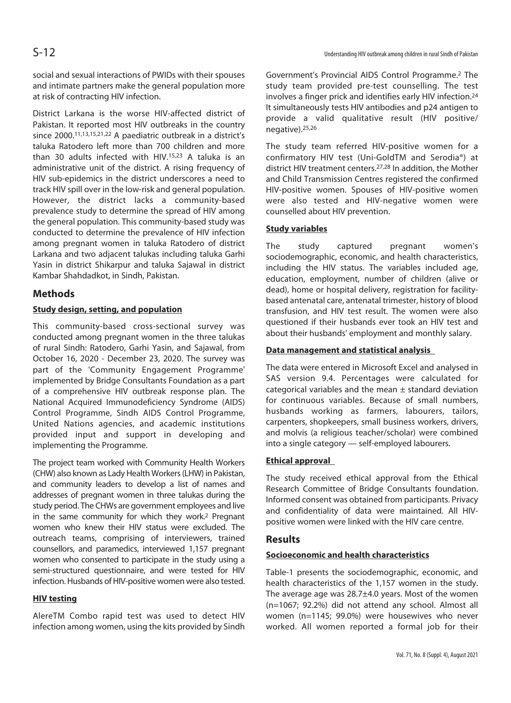social and sexual interactions of PWIDs with their spouses and intimate partners make the general population more at risk of contracting HIV infection.

District Larkana is the worse HIV-affected district of Pakistan. It reported most HIV outbreaks in the country since 2000.11,13,15,21,22 A paediatric outbreak in a district's taluka Ratodero left more than 700 children and more than 30 adults infected with HIV.15,23 A taluka is an administrative unit of the district. A rising frequency of HIV sub-epidemics in the district underscores a need to track HIV spill over in the low-risk and general population. However, the district lacks a community-based prevalence study to determine the spread of HIV among the general population. This community-based study was conducted to determine the prevalence of HIV infection among pregnant women in taluka Ratodero of district Larkana and two adjacent talukas including taluka Garhi Yasin in district Shikarpur and taluka Sajawal in district Kambar Shahdadkot, in Sindh, Pakistan.

## **Methods**

## **Study design, setting, and population**

This community-based cross-sectional survey was conducted among pregnant women in the three talukas of rural Sindh: Ratodero, Garhi Yasin, and Sajawal, from October 16, 2020 - December 23, 2020. The survey was part of the 'Community Engagement Programme' implemented by Bridge Consultants Foundation as a part of a comprehensive HIV outbreak response plan. The National Acquired Immunodeficiency Syndrome (AIDS) Control Programme, Sindh AIDS Control Programme, United Nations agencies, and academic institutions provided input and support in developing and implementing the Programme.

The project team worked with Community Health Workers (CHW) also known as Lady Health Workers (LHW) in Pakistan, and community leaders to develop a list of names and addresses of pregnant women in three talukas during the study period. The CHWs are government employees and live in the same community for which they work.2 Pregnant women who knew their HIV status were excluded. The outreach teams, comprising of interviewers, trained counsellors, and paramedics, interviewed 1,157 pregnant women who consented to participate in the study using a semi-structured questionnaire, and were tested for HIV infection. Husbands of HIV-positive women were also tested.

## **HIV testing**

AlereTM Combo rapid test was used to detect HIV infection among women, using the kits provided by Sindh Government's Provincial AIDS Control Programme.2 The study team provided pre-test counselling. The test involves a finger prick and identifies early HIV infection.24 It simultaneously tests HIV antibodies and p24 antigen to provide a valid qualitative result (HIV positive/ negative).25,26

The study team referred HIV-positive women for a confirmatory HIV test (Uni-GoldTM and Serodia®) at district HIV treatment centers.27,28 In addition, the Mother and Child Transmission Centres registered the confirmed HIV-positive women. Spouses of HIV-positive women were also tested and HIV-negative women were counselled about HIV prevention.

#### **Study variables**

The study captured pregnant women's sociodemographic, economic, and health characteristics, including the HIV status. The variables included age, education, employment, number of children (alive or dead), home or hospital delivery, registration for facilitybased antenatal care, antenatal trimester, history of blood transfusion, and HIV test result. The women were also questioned if their husbands ever took an HIV test and about their husbands' employment and monthly salary.

#### **Data management and statistical analysis**

The data were entered in Microsoft Excel and analysed in SAS version 9.4. Percentages were calculated for categorical variables and the mean  $\pm$  standard deviation for continuous variables. Because of small numbers, husbands working as farmers, labourers, tailors, carpenters, shopkeepers, small business workers, drivers, and molvis (a religious teacher/scholar) were combined into a single category — self-employed labourers.

#### **Ethical approval**

The study received ethical approval from the Ethical Research Committee of Bridge Consultants foundation. Informed consent was obtained from participants. Privacy and confidentiality of data were maintained. All HIVpositive women were linked with the HIV care centre.

## **Results**

## **Socioeconomic and health characteristics**

Table-1 presents the sociodemographic, economic, and health characteristics of the 1,157 women in the study. The average age was 28.7±4.0 years. Most of the women (n=1067; 92.2%) did not attend any school. Almost all women (n=1145; 99.0%) were housewives who never worked. All women reported a formal job for their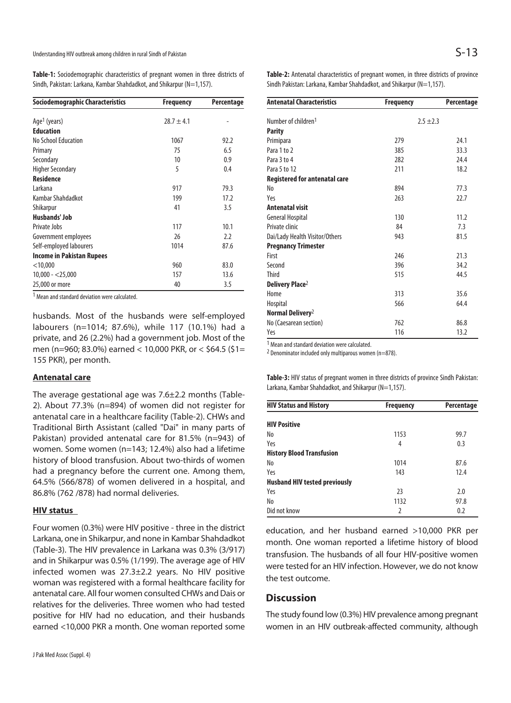Understanding HIV outbreak among children in rural Sindh of Pakistan  $\mathsf{S\text{-}13}$ 

**Table-1:** Sociodemographic characteristics of pregnant women in three districts of Sindh, Pakistan: Larkana, Kambar Shahdadkot, and Shikarpur (N=1,157).

| Sociodemographic Characteristics | <b>Frequency</b> | Percentage |
|----------------------------------|------------------|------------|
|                                  |                  |            |
| Age <sup>1</sup> (years)         | $28.7 \pm 4.1$   |            |
| <b>Education</b>                 |                  |            |
| No School Education              | 1067             | 92.2       |
| Primary                          | 75               | 6.5        |
| Secondary                        | 10               | 0.9        |
| <b>Higher Secondary</b>          | 5                | 0.4        |
| <b>Residence</b>                 |                  |            |
| Larkana                          | 917              | 79.3       |
| Kambar Shahdadkot                | 199              | 17.2       |
| Shikarpur                        | 41               | 3.5        |
| <b>Husbands' Job</b>             |                  |            |
| Private Jobs                     | 117              | 10.1       |
| Government employees             | 26               | 2.2        |
| Self-employed labourers          | 1014             | 87.6       |
| <b>Income in Pakistan Rupees</b> |                  |            |
| $<$ 10,000                       | 960              | 83.0       |
| $10,000 - 25,000$                | 157              | 13.6       |
| 25,000 or more                   | 40               | 3.5        |

1 Mean and standard deviation were calculated.

husbands. Most of the husbands were self-employed labourers (n=1014; 87.6%), while 117 (10.1%) had a private, and 26 (2.2%) had a government job. Most of the men (n=960; 83.0%) earned < 10,000 PKR, or <  $$64.5$  ( $$1=$ 155 PKR), per month.

#### **Antenatal care**

The average gestational age was 7.6±2.2 months (Table-2). About 77.3% (n=894) of women did not register for antenatal care in a healthcare facility (Table-2). CHWs and Traditional Birth Assistant (called "Dai" in many parts of Pakistan) provided antenatal care for 81.5% (n=943) of women. Some women (n=143; 12.4%) also had a lifetime history of blood transfusion. About two-thirds of women had a pregnancy before the current one. Among them, 64.5% (566/878) of women delivered in a hospital, and 86.8% (762 /878) had normal deliveries.

#### **HIV status**

Four women (0.3%) were HIV positive - three in the district Larkana, one in Shikarpur, and none in Kambar Shahdadkot (Table-3). The HIV prevalence in Larkana was 0.3% (3/917) and in Shikarpur was 0.5% (1/199). The average age of HIV infected women was 27.3±2.2 years. No HIV positive woman was registered with a formal healthcare facility for antenatal care. All four women consulted CHWs and Dais or relatives for the deliveries. Three women who had tested positive for HIV had no education, and their husbands earned <10,000 PKR a month. One woman reported some

**Table-2:** Antenatal characteristics of pregnant women, in three districts of province Sindh Pakistan: Larkana, Kambar Shahdadkot, and Shikarpur (N=1,157).

| <b>Antenatal Characteristics</b> | <b>Frequency</b> | Percentage |
|----------------------------------|------------------|------------|
| Number of children <sup>1</sup>  | $2.5 + 2.3$      |            |
| Parity                           |                  |            |
| Primipara                        | 279              | 74.1       |
| Para 1 to 2                      | 385              | 33.3       |
| Para 3 to 4                      | 282              | 24.4       |
| Para 5 to 12                     | 211              | 18.2       |
| Registered for antenatal care    |                  |            |
| No                               | 894              | 77.3       |
| Yes                              | 263              | 22.7       |
| <b>Antenatal visit</b>           |                  |            |
| <b>General Hospital</b>          | 130              | 11.2       |
| Private clinic                   | 84               | 7.3        |
| Dai/Lady Health Visitor/Others   | 943              | 81.5       |
| <b>Pregnancy Trimester</b>       |                  |            |
| First                            | 246              | 21.3       |
| Second                           | 396              | 34.2       |
| <b>Third</b>                     | 515              | 44.5       |
| Delivery Place <sup>2</sup>      |                  |            |
| Home                             | 313              | 35.6       |
| Hospital                         | 566              | 64.4       |
| Normal Delivery <sup>2</sup>     |                  |            |
| No (Caesarean section)           | 762              | 86.8       |
| Yes                              | 116              | 13.2       |

<sup>1</sup> Mean and standard deviation were calculated.

2 Denominator included only multiparous women (n=878).

**Table-3:** HIV status of pregnant women in three districts of province Sindh Pakistan: Larkana, Kambar Shahdadkot, and Shikarpur (N=1,157).

| <b>HIV Status and History</b>        | <b>Frequency</b> | Percentage |
|--------------------------------------|------------------|------------|
| <b>HIV Positive</b>                  |                  |            |
| No                                   | 1153             | 99.7       |
| Yes                                  | 4                | 0.3        |
| <b>History Blood Transfusion</b>     |                  |            |
| No                                   | 1014             | 87.6       |
| Yes                                  | 143              | 12.4       |
| <b>Husband HIV tested previously</b> |                  |            |
| Yes                                  | 23               | 2.0        |
| No                                   | 1132             | 97.8       |
| Did not know                         | 2                | 0.2        |

education, and her husband earned >10,000 PKR per month. One woman reported a lifetime history of blood transfusion. The husbands of all four HIV-positive women were tested for an HIV infection. However, we do not know the test outcome.

#### **Discussion**

The study found low (0.3%) HIV prevalence among pregnant women in an HIV outbreak-affected community, although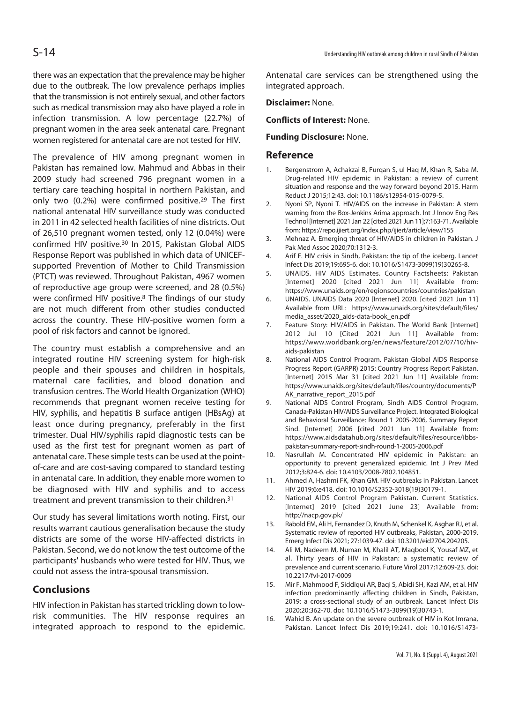there was an expectation that the prevalence may be higher due to the outbreak. The low prevalence perhaps implies that the transmission is not entirely sexual, and other factors such as medical transmission may also have played a role in infection transmission. A low percentage (22.7%) of pregnant women in the area seek antenatal care. Pregnant women registered for antenatal care are not tested for HIV.

The prevalence of HIV among pregnant women in Pakistan has remained low. Mahmud and Abbas in their 2009 study had screened 796 pregnant women in a tertiary care teaching hospital in northern Pakistan, and only two (0.2%) were confirmed positive.29 The first national antenatal HIV surveillance study was conducted in 2011 in 42 selected health facilities of nine districts. Out of 26,510 pregnant women tested, only 12 (0.04%) were confirmed HIV positive.<sup>30</sup> In 2015, Pakistan Global AIDS Response Report was published in which data of UNICEFsupported Prevention of Mother to Child Transmission (PTCT) was reviewed. Throughout Pakistan, 4967 women of reproductive age group were screened, and 28 (0.5%) were confirmed HIV positive.8 The findings of our study are not much different from other studies conducted across the country. These HIV-positive women form a pool of risk factors and cannot be ignored.

The country must establish a comprehensive and an integrated routine HIV screening system for high-risk people and their spouses and children in hospitals, maternal care facilities, and blood donation and transfusion centres. The World Health Organization (WHO) recommends that pregnant women receive testing for HIV, syphilis, and hepatitis B surface antigen (HBsAg) at least once during pregnancy, preferably in the first trimester. Dual HIV/syphilis rapid diagnostic tests can be used as the first test for pregnant women as part of antenatal care. These simple tests can be used at the pointof-care and are cost-saving compared to standard testing in antenatal care. In addition, they enable more women to be diagnosed with HIV and syphilis and to access treatment and prevent transmission to their children.31

Our study has several limitations worth noting. First, our results warrant cautious generalisation because the study districts are some of the worse HIV-affected districts in Pakistan. Second, we do not know the test outcome of the participants' husbands who were tested for HIV. Thus, we could not assess the intra-spousal transmission.

## **Conclusions**

HIV infection in Pakistan has started trickling down to lowrisk communities. The HIV response requires an integrated approach to respond to the epidemic. Antenatal care services can be strengthened using the integrated approach.

#### **Disclaimer:** None.

**Conflicts of Interest:** None.

#### **Funding Disclosure:** None.

#### **Reference**

- 1. Bergenstrom A, Achakzai B, Furqan S, ul Haq M, Khan R, Saba M. Drug-related HIV epidemic in Pakistan: a review of current situation and response and the way forward beyond 2015. Harm Reduct J 2015;12:43. doi: 10.1186/s12954-015-0079-5.
- 2. Nyoni SP, Nyoni T. HIV/AIDS on the increase in Pakistan: A stern warning from the Box-Jenkins Arima approach. Int J Innov Eng Res Technol [Internet] 2021 Jan 22 [cited 2021 Jun 11];7:163-71. Available from: https://repo.ijiert.org/index.php/ijiert/article/view/155
- 3. Mehnaz A. Emerging threat of HIV/AIDS in children in Pakistan. J Pak Med Assoc 2020;70:1312-3.
- 4. Arif F. HIV crisis in Sindh, Pakistan: the tip of the iceberg. Lancet Infect Dis 2019;19:695-6. doi: 10.1016/S1473-3099(19)30265-8.
- 5. UNAIDS. HIV AIDS Estimates. Country Factsheets: Pakistan [Internet] 2020 [cited 2021 Jun 11] Available from: https://www.unaids.org/en/regionscountries/countries/pakistan
- 6. UNAIDS. UNAIDS Data 2020 [Internet] 2020. [cited 2021 Jun 11] Available from URL: https://www.unaids.org/sites/default/files/ media\_asset/2020\_aids-data-book\_en.pdf
- 7. Feature Story: HIV/AIDS in Pakistan. The World Bank [Internet] 2012 Jul 10 [Cited 2021 Jun 11] Available from: https://www.worldbank.org/en/news/feature/2012/07/10/hivaids-pakistan
- 8. National AIDS Control Program. Pakistan Global AIDS Response Progress Report (GARPR) 2015: Country Progress Report Pakistan. [Internet] 2015 Mar 31 [cited 2021 Jun 11] Available from: https://www.unaids.org/sites/default/files/country/documents/P AK\_narrative\_report\_2015.pdf
- 9. National AIDS Control Program, Sindh AIDS Control Program, Canada-Pakistan HIV/AIDS Surveillance Project. Integrated Biological and Behavioral Surveillance: Round 1 2005-2006, Summary Report Sind. [Internet] 2006 [cited 2021 Jun 11] Available from: https://www.aidsdatahub.org/sites/default/files/resource/ibbspakistan-summary-report-sindh-round-1-2005-2006.pdf
- 10. Nasrullah M. Concentrated HIV epidemic in Pakistan: an opportunity to prevent generalized epidemic. Int J Prev Med 2012;3:824-6. doi: 10.4103/2008-7802.104851.
- 11. Ahmed A, Hashmi FK, Khan GM. HIV outbreaks in Pakistan. Lancet HIV 2019;6:e418. doi: 10.1016/S2352-3018(19)30179-1.
- 12. National AIDS Control Program Pakistan. Current Statistics. [Internet] 2019 [cited 2021 June 23] Available from: http://nacp.gov.pk/
- 13. Rabold EM, Ali H, Fernandez D, Knuth M, Schenkel K, Asghar RJ, et al. Systematic review of reported HIV outbreaks, Pakistan, 2000-2019. Emerg Infect Dis 2021; 27:1039-47. doi: 10.3201/eid2704.204205.
- 14. Ali M, Nadeem M, Numan M, Khalil AT, Maqbool K, Yousaf MZ, et al. Thirty years of HIV in Pakistan: a systematic review of prevalence and current scenario. Future Virol 2017;12:609-23. doi: 10.2217/fvl-2017-0009
- 15. Mir F, Mahmood F, Siddiqui AR, Baqi S, Abidi SH, Kazi AM, et al. HIV infection predominantly affecting children in Sindh, Pakistan, 2019: a cross-sectional study of an outbreak. Lancet Infect Dis 2020;20:362-70. doi: 10.1016/S1473-3099(19)30743-1.
- 16. Wahid B. An update on the severe outbreak of HIV in Kot Imrana, Pakistan. Lancet Infect Dis 2019;19:241. doi: 10.1016/S1473-